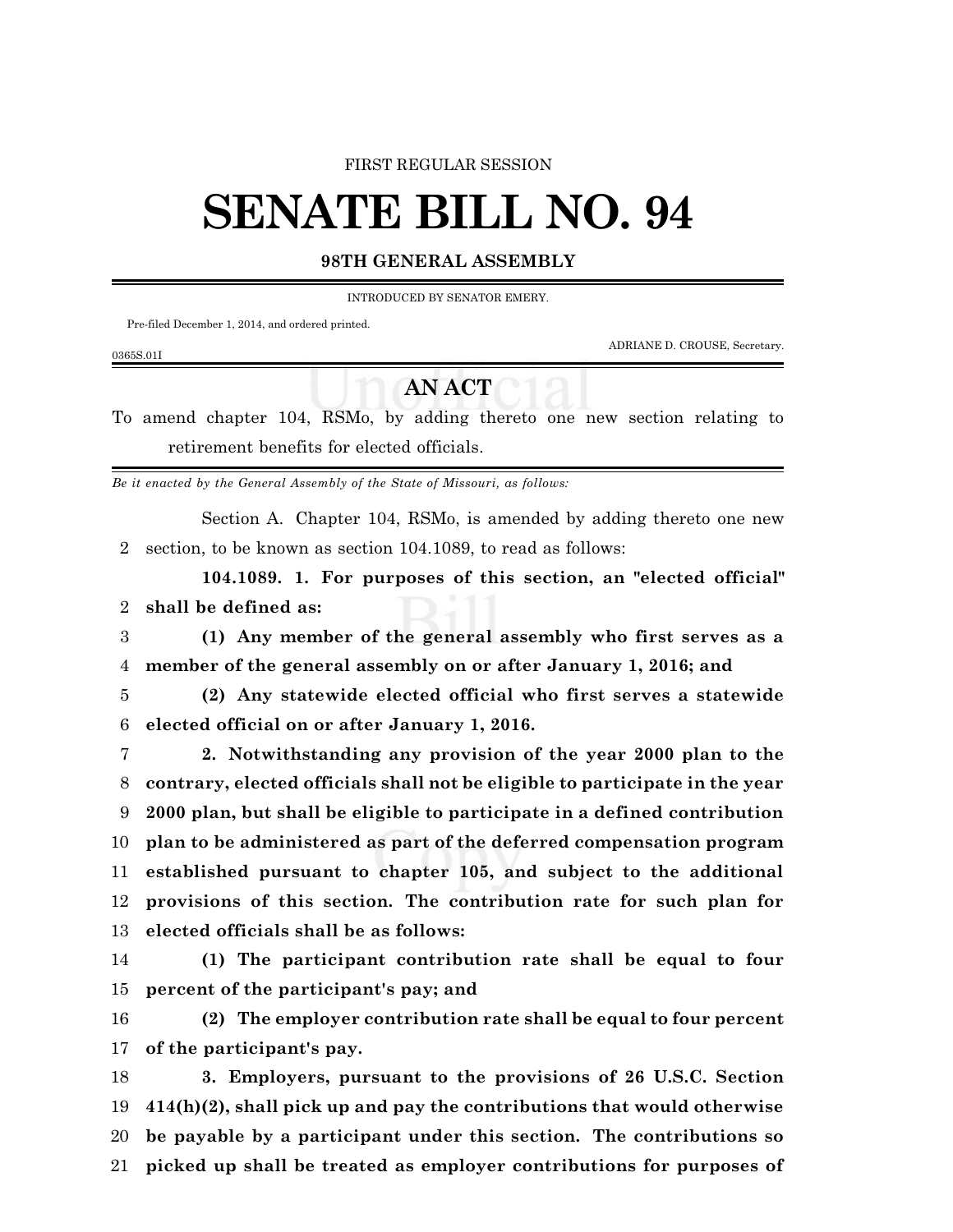#### FIRST REGULAR SESSION

# **SENATE BILL NO. 94**

### **98TH GENERAL ASSEMBLY**

INTRODUCED BY SENATOR EMERY.

Pre-filed December 1, 2014, and ordered printed.

ADRIANE D. CROUSE, Secretary.

#### 0365S.01I

## **AN ACT**

To amend chapter 104, RSMo, by adding thereto one new section relating to retirement benefits for elected officials.

*Be it enacted by the General Assembly of the State of Missouri, as follows:*

Section A. Chapter 104, RSMo, is amended by adding thereto one new section, to be known as section 104.1089, to read as follows:

**104.1089. 1. For purposes of this section, an "elected official" shall be defined as:**

 **(1) Any member of the general assembly who first serves as a member of the general assembly on or after January 1, 2016; and**

 **(2) Any statewide elected official who first serves a statewide elected official on or after January 1, 2016.**

 **2. Notwithstanding any provision of the year 2000 plan to the contrary, elected officials shall not be eligible to participate in the year 2000 plan, but shall be eligible to participate in a defined contribution plan to be administered as part of the deferred compensation program established pursuant to chapter 105, and subject to the additional provisions of this section. The contribution rate for such plan for elected officials shall be as follows:**

 **(1) The participant contribution rate shall be equal to four percent of the participant's pay; and**

 **(2) The employer contribution rate shall be equal to four percent of the participant's pay.**

 **3. Employers, pursuant to the provisions of 26 U.S.C. Section 414(h)(2), shall pick up and pay the contributions that would otherwise be payable by a participant under this section. The contributions so picked up shall be treated as employer contributions for purposes of**